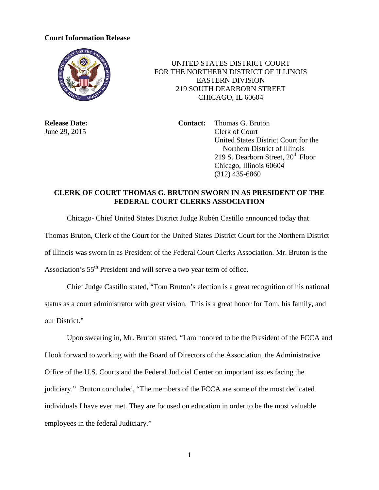## **Court Information Release**



 UNITED STATES DISTRICT COURT FOR THE NORTHERN DISTRICT OF ILLINOIS EASTERN DIVISION 219 SOUTH DEARBORN STREET CHICAGO, IL 60604

**Release Date: Contact:** Thomas G. Bruton June 29, 2015 Clerk of Court United States District Court for the Northern District of Illinois 219 S. Dearborn Street,  $20<sup>th</sup>$  Floor Chicago, Illinois 60604 (312) 435-6860

## **CLERK OF COURT THOMAS G. BRUTON SWORN IN AS PRESIDENT OF THE FEDERAL COURT CLERKS ASSOCIATION**

Chicago- Chief United States District Judge Rubén Castillo announced today that Thomas Bruton, Clerk of the Court for the United States District Court for the Northern District of Illinois was sworn in as President of the Federal Court Clerks Association. Mr. Bruton is the Association's 55<sup>th</sup> President and will serve a two year term of office.

Chief Judge Castillo stated, "Tom Bruton's election is a great recognition of his national status as a court administrator with great vision. This is a great honor for Tom, his family, and our District."

Upon swearing in, Mr. Bruton stated, "I am honored to be the President of the FCCA and I look forward to working with the Board of Directors of the Association, the Administrative Office of the U.S. Courts and the Federal Judicial Center on important issues facing the judiciary." Bruton concluded, "The members of the FCCA are some of the most dedicated individuals I have ever met. They are focused on education in order to be the most valuable employees in the federal Judiciary."